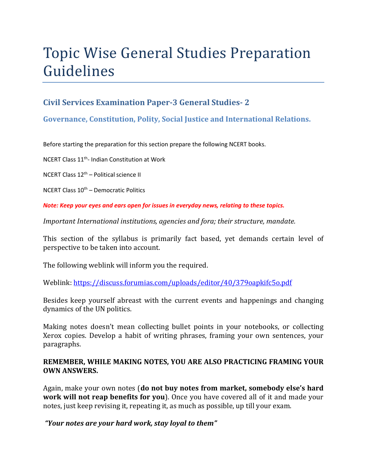# Topic Wise General Studies Preparation Guidelines

## **Civil Services Examination Paper-3 General Studies- 2**

### **Governance, Constitution, Polity, Social Justice and International Relations.**

Before starting the preparation for this section prepare the following NCERT books.

NCERT Class 11th- Indian Constitution at Work

NCERT Class  $12<sup>th</sup>$  – Political science II

NCERT Class  $10<sup>th</sup>$  – Democratic Politics

*Note: Keep your eyes and ears open for issues in everyday news, relating to these topics.* 

*Important International institutions, agencies and fora; their structure, mandate.* 

This section of the syllabus is primarily fact based, yet demands certain level of perspective to be taken into account.

The following weblink will inform you the required.

Weblink: https://discuss.forumias.com/uploads/editor/40/379oapkifc5o.pdf

Besides keep yourself abreast with the current events and happenings and changing dynamics of the UN politics.

Making notes doesn't mean collecting bullet points in your notebooks, or collecting Xerox copies. Develop a habit of writing phrases, framing your own sentences, your paragraphs.

#### **REMEMBER, WHILE MAKING NOTES, YOU ARE ALSO PRACTICING FRAMING YOUR OWN ANSWERS.**

Again, make your own notes (**do not buy notes from market, somebody else's hard work will not reap benefits for you**). Once you have covered all of it and made your notes, just keep revising it, repeating it, as much as possible, up till your exam.

 *"Your notes are your hard work, stay loyal to them"*